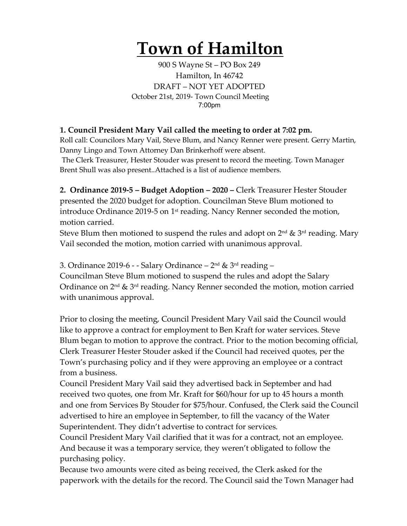## **Town of Hamilton**

900 S Wayne St – PO Box 249 Hamilton, In 46742 DRAFT – NOT YET ADOPTED October 21st, 2019- Town Council Meeting 7:00pm

## **1. Council President Mary Vail called the meeting to order at 7:02 pm.**

Roll call: Councilors Mary Vail, Steve Blum, and Nancy Renner were present. Gerry Martin, Danny Lingo and Town Attorney Dan Brinkerhoff were absent.

The Clerk Treasurer, Hester Stouder was present to record the meeting. Town Manager Brent Shull was also present..Attached is a list of audience members.

**2. Ordinance 2019-5 – Budget Adoption – 2020 –** Clerk Treasurer Hester Stouder presented the 2020 budget for adoption. Councilman Steve Blum motioned to introduce Ordinance 2019-5 on 1<sup>st</sup> reading. Nancy Renner seconded the motion, motion carried.

Steve Blum then motioned to suspend the rules and adopt on  $2^{nd}$  &  $3^{rd}$  reading. Mary Vail seconded the motion, motion carried with unanimous approval.

3. Ordinance 2019-6 - - Salary Ordinance –  $2<sup>nd</sup>$  &  $3<sup>rd</sup>$  reading –

Councilman Steve Blum motioned to suspend the rules and adopt the Salary Ordinance on  $2<sup>nd</sup>$  &  $3<sup>rd</sup>$  reading. Nancy Renner seconded the motion, motion carried with unanimous approval.

Prior to closing the meeting, Council President Mary Vail said the Council would like to approve a contract for employment to Ben Kraft for water services. Steve Blum began to motion to approve the contract. Prior to the motion becoming official, Clerk Treasurer Hester Stouder asked if the Council had received quotes, per the Town's purchasing policy and if they were approving an employee or a contract from a business.

Council President Mary Vail said they advertised back in September and had received two quotes, one from Mr. Kraft for \$60/hour for up to 45 hours a month and one from Services By Stouder for \$75/hour. Confused, the Clerk said the Council advertised to hire an employee in September, to fill the vacancy of the Water Superintendent. They didn't advertise to contract for services.

Council President Mary Vail clarified that it was for a contract, not an employee. And because it was a temporary service, they weren't obligated to follow the purchasing policy.

Because two amounts were cited as being received, the Clerk asked for the paperwork with the details for the record. The Council said the Town Manager had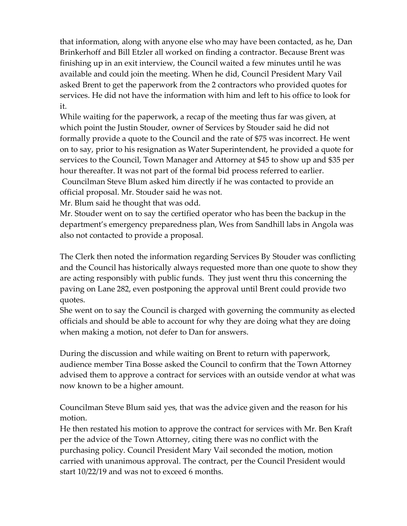that information, along with anyone else who may have been contacted, as he, Dan Brinkerhoff and Bill Etzler all worked on finding a contractor. Because Brent was finishing up in an exit interview, the Council waited a few minutes until he was available and could join the meeting. When he did, Council President Mary Vail asked Brent to get the paperwork from the 2 contractors who provided quotes for services. He did not have the information with him and left to his office to look for it.

While waiting for the paperwork, a recap of the meeting thus far was given, at which point the Justin Stouder, owner of Services by Stouder said he did not formally provide a quote to the Council and the rate of \$75 was incorrect. He went on to say, prior to his resignation as Water Superintendent, he provided a quote for services to the Council, Town Manager and Attorney at \$45 to show up and \$35 per hour thereafter. It was not part of the formal bid process referred to earlier. Councilman Steve Blum asked him directly if he was contacted to provide an official proposal. Mr. Stouder said he was not.

Mr. Blum said he thought that was odd.

Mr. Stouder went on to say the certified operator who has been the backup in the department's emergency preparedness plan, Wes from Sandhill labs in Angola was also not contacted to provide a proposal.

The Clerk then noted the information regarding Services By Stouder was conflicting and the Council has historically always requested more than one quote to show they are acting responsibly with public funds. They just went thru this concerning the paving on Lane 282, even postponing the approval until Brent could provide two quotes.

She went on to say the Council is charged with governing the community as elected officials and should be able to account for why they are doing what they are doing when making a motion, not defer to Dan for answers.

During the discussion and while waiting on Brent to return with paperwork, audience member Tina Bosse asked the Council to confirm that the Town Attorney advised them to approve a contract for services with an outside vendor at what was now known to be a higher amount.

Councilman Steve Blum said yes, that was the advice given and the reason for his motion.

He then restated his motion to approve the contract for services with Mr. Ben Kraft per the advice of the Town Attorney, citing there was no conflict with the purchasing policy. Council President Mary Vail seconded the motion, motion carried with unanimous approval. The contract, per the Council President would start 10/22/19 and was not to exceed 6 months.